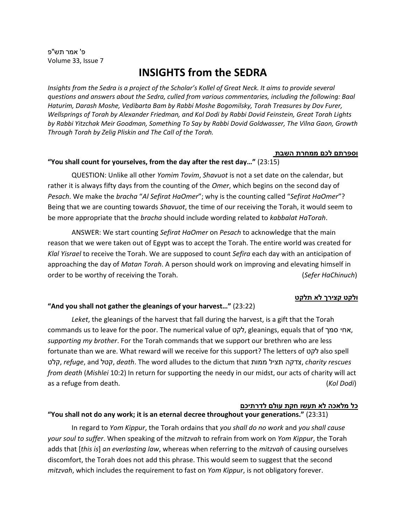פ' אמר תש"פ Volume 33, Issue 7

# **INSIGHTS from the SEDRA**

*Insights from the Sedra is a project of the Scholar's Kollel of Great Neck. It aims to provide several questions and answers about the Sedra, culled from various commentaries, including the following: Baal Haturim, Darash Moshe, Vedibarta Bam by Rabbi Moshe Bogomilsky, Torah Treasures by Dov Furer, Wellsprings of Torah by Alexander Friedman, and Kol Dodi by Rabbi Dovid Feinstein, Great Torah Lights by Rabbi Yitzchak Meir Goodman, Something To Say by Rabbi Dovid Goldwasser, The Vilna Gaon, Growth Through Torah by Zelig Pliskin and The Call of the Torah.*

#### **וספרתם לכם ממחרת השבת**

#### **"You shall count for yourselves, from the day after the rest day…"** (23:15)

 QUESTION: Unlike all other *Yomim Tovim*, *Shavuot* is not a set date on the calendar, but rather it is always fifty days from the counting of the *Omer*, which begins on the second day of *Pesach*. We make the *bracha* "*Al Sefirat HaOmer*"; why is the counting called "*Sefirat HaOmer*"? Being that we are counting towards *Shavuot*, the time of our receiving the Torah, it would seem to be more appropriate that the *bracha* should include wording related to *kabbalat HaTorah*.

 ANSWER: We start counting *Sefirat HaOmer* on *Pesach* to acknowledge that the main reason that we were taken out of Egypt was to accept the Torah. The entire world was created for *Klal Yisrael* to receive the Torah. We are supposed to count *Sefira* each day with an anticipation of approaching the day of *Matan Torah*. A person should work on improving and elevating himself in order to be worthy of receiving the Torah. (*Sefer HaChinuch*)

## **ולקט קצירך לא תלקט**

## **"And you shall not gather the gleanings of your harvest…"** (23:22)

*Leket*, the gleanings of the harvest that fall during the harvest, is a gift that the Torah commands us to leave for the poor. The numerical value of לקט, gleanings, equals that of סמך אחי, *supporting my brother*. For the Torah commands that we support our brethren who are less fortunate than we are. What reward will we receive for this support? The letters of לקט also spell קלט, *refuge*, and קטל, *death*. The word alludes to the dictum that ממות תציל צדקה, *charity rescues from death* (*Mishlei* 10:2) In return for supporting the needy in our midst, our acts of charity will act as a refuge from death. (*Kol Dodi*)

## **כל מלאכה לא תעשו חקת עולם לדרתיכם**

#### **"You shall not do any work; it is an eternal decree throughout your generations."** (23:31)

 In regard to *Yom Kippur*, the Torah ordains that *you shall do no work* and *you shall cause your soul to suffer*. When speaking of the *mitzvah* to refrain from work on *Yom Kippur*, the Torah adds that [*this is*] *an everlasting law*, whereas when referring to the *mitzvah* of causing ourselves discomfort, the Torah does not add this phrase. This would seem to suggest that the second *mitzvah*, which includes the requirement to fast on *Yom Kippur*, is not obligatory forever.